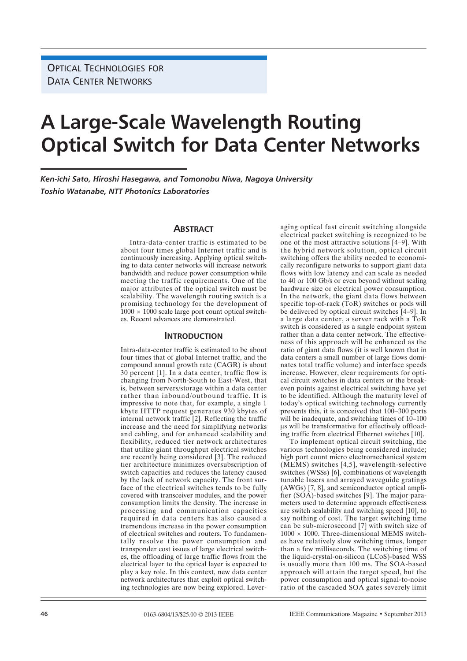OPTICAL TECHNOLOGIES FOR DATA CENTER NETWORKS

# **A Large-Scale Wavelength Routing Optical Switch for Data Center Networks**

*Ken-ichi Sato, Hiroshi Hasegawa, and Tomonobu Niwa, Nagoya University Toshio Watanabe, NTT Photonics Laboratories*

## **ABSTRACT**

Intra-data-center traffic is estimated to be about four times global Internet traffic and is continuously increasing. Applying optical switching to data center networks will increase network bandwidth and reduce power consumption while meeting the traffic requirements. One of the major attributes of the optical switch must be scalability. The wavelength routing switch is a promising technology for the development of  $1000 \times 1000$  scale large port count optical switches. Recent advances are demonstrated.

#### **INTRODUCTION**

Intra-data-center traffic is estimated to be about four times that of global Internet traffic, and the compound annual growth rate (CAGR) is about 30 percent [1]. In a data center, traffic flow is changing from North-South to East-West, that is, between servers/storage within a data center rather than inbound/outbound traffic. It is impressive to note that, for example, a single 1 kbyte HTTP request generates 930 kbytes of internal network traffic [2]. Reflecting the traffic increase and the need for simplifying networks and cabling, and for enhanced scalability and flexibility, reduced tier network architectures that utilize giant throughput electrical switches are recently being considered [3]. The reduced tier architecture minimizes oversubscription of switch capacities and reduces the latency caused by the lack of network capacity. The front surface of the electrical switches tends to be fully covered with transceiver modules, and the power consumption limits the density. The increase in processing and communication capacities required in data centers has also caused a tremendous increase in the power consumption of electrical switches and routers. To fundamentally resolve the power consumption and transponder cost issues of large electrical switches, the offloading of large traffic flows from the electrical layer to the optical layer is expected to play a key role. In this context, new data center network architectures that exploit optical switching technologies are now being explored. Leveraging optical fast circuit switching alongside electrical packet switching is recognized to be one of the most attractive solutions [4–9]. With the hybrid network solution, optical circuit switching offers the ability needed to economically reconfigure networks to support giant data flows with low latency and can scale as needed to 40 or 100 Gb/s or even beyond without scaling hardware size or electrical power consumption. In the network, the giant data flows between specific top-of-rack (ToR) switches or pods will be delivered by optical circuit switches [4–9]. In a large data center, a server rack with a ToR switch is considered as a single endpoint system rather than a data center network. The effectiveness of this approach will be enhanced as the ratio of giant data flows (it is well known that in data centers a small number of large flows dominates total traffic volume) and interface speeds increase. However, clear requirements for optical circuit switches in data centers or the breakeven points against electrical switching have yet to be identified. Although the maturity level of today's optical switching technology currently prevents this, it is conceived that 100–300 ports will be inadequate, and switching times of  $10-100$ us will be transformative for effectively offloading traffic from electrical Ethernet switches [10].

To implement optical circuit switching, the various technologies being considered include; high port count micro electromechanical system (MEMS) switches [4,5], wavelength-selective switches (WSSs) [6], combinations of wavelength tunable lasers and arrayed waveguide gratings (AWGs) [7, 8], and semiconductor optical amplifier (SOA)-based switches [9]. The major parameters used to determine approach effectiveness are switch scalability and switching speed [10], to say nothing of cost. The target switching time can be sub-microsecond [7] with switch size of  $1000 \times 1000$ . Three-dimensional MEMS switches have relatively slow switching times, longer than a few milliseconds. The switching time of the liquid-crystal-on-silicon (LCoS)-based WSS is usually more than 100 ms. The SOA-based approach will attain the target speed, but the power consumption and optical signal-to-noise ratio of the cascaded SOA gates severely limit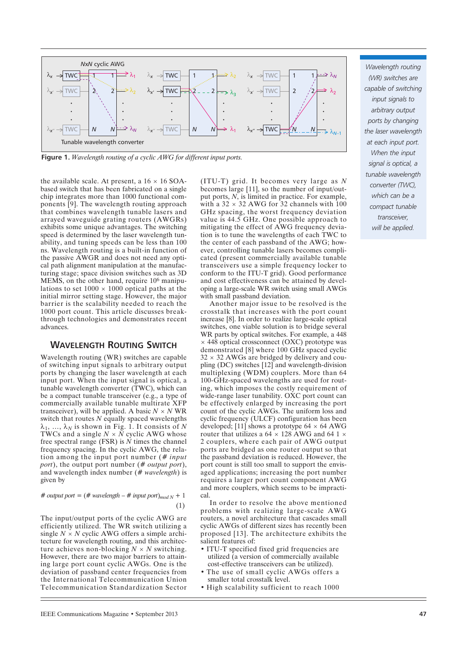

**Figure 1.** *Wavelength routing of a cyclic AWG for different input ports.*

the available scale. At present, a  $16 \times 16$  SOAbased switch that has been fabricated on a single chip integrates more than 1000 functional components [9]. The wavelength routing approach that combines wavelength tunable lasers and arrayed waveguide grating routers (AWGRs) exhibits some unique advantages. The switching speed is determined by the laser wavelength tunability, and tuning speeds can be less than 100 ns. Wavelength routing is a built-in function of the passive AWGR and does not need any optical path alignment manipulation at the manufacturing stage; space division switches such as 3D MEMS, on the other hand, require 106 manipulations to set  $1000 \times 1000$  optical paths at the initial mirror setting stage. However, the major barrier is the scalability needed to reach the 1000 port count. This article discusses breakthrough technologies and demonstrates recent advances.

#### **WAVELENGTH ROUTING SWITCH**

Wavelength routing (WR) switches are capable of switching input signals to arbitrary output ports by changing the laser wavelength at each input port. When the input signal is optical, a tunable wavelength converter (TWC), which can be a compact tunable transceiver (e.g., a type of commercially available tunable multirate XFP transceiver), will be applied. A basic  $N \times N$  WR switch that routes  $N$  equally spaced wavelengths  $\lambda_1, \ldots, \lambda_N$  is shown in Fig. 1. It consists of N TWCs and a single  $N \times N$  cyclic AWG whose free spectral range (FSR) is *N* times the channel frequency spacing. In the cyclic AWG, the relation among the input port number (# *input port*), the output port number (# *output port*), and wavelength index number (# *wavelength*) is given by

## # *output port* = (# *wavelength* – # *input port*)<sub>*mod N*</sub> + 1 (1)

The input/output ports of the cyclic AWG are efficiently utilized. The WR switch utilizing a single  $N \times N$  cyclic AWG offers a simple architecture for wavelength routing, and this architecture achieves non-blocking  $N \times N$  switching. However, there are two major barriers to attaining large port count cyclic AWGs. One is the deviation of passband center frequencies from the International Telecommunication Union Telecommunication Standardization Sector

(ITU-T) grid. It becomes very large as *N* becomes large [11], so the number of input/output ports, *N*, is limited in practice. For example, with a  $32 \times 32$  AWG for 32 channels with 100 GHz spacing, the worst frequency deviation value is 44.5 GHz. One possible approach to mitigating the effect of AWG frequency deviation is to tune the wavelengths of each TWC to the center of each passband of the AWG; however, controlling tunable lasers becomes complicated (present commercially available tunable transceivers use a simple frequency locker to conform to the ITU-T grid). Good performance and cost effectiveness can be attained by developing a large-scale WR switch using small AWGs with small passband deviation.

Another major issue to be resolved is the crosstalk that increases with the port count increase [8]. In order to realize large-scale optical switches, one viable solution is to bridge several WR parts by optical switches. For example, a 448 × 448 optical crossconnect (OXC) prototype was demonstrated [8] where 100 GHz spaced cyclic  $32 \times 32$  AWGs are bridged by delivery and coupling (DC) switches [12] and wavelength-division multiplexing (WDM) couplers. More than 64 100-GHz-spaced wavelengths are used for routing, which imposes the costly requirement of wide-range laser tunability. OXC port count can be effectively enlarged by increasing the port count of the cyclic AWGs. The uniform loss and cyclic frequency (ULCF) configuration has been developed; [11] shows a prototype  $64 \times 64$  AWG router that utilizes a  $64 \times 128$  AWG and 64 1  $\times$ 2 couplers, where each pair of AWG output ports are bridged as one router output so that the passband deviation is reduced. However, the port count is still too small to support the envisaged applications; increasing the port number requires a larger port count component AWG and more couplers, which seems to be impractical.

In order to resolve the above mentioned problems with realizing large-scale AWG routers, a novel architecture that cascades small cyclic AWGs of different sizes has recently been proposed [13]. The architecture exhibits the salient features of:

- ITU-T specified fixed grid frequencies are utilized (a version of commercially available cost-effective transceivers can be utilized).
- The use of small cyclic AWGs offers a smaller total crosstalk level.
- High scalability sufficient to reach 1000

*Wavelength routing (WR) switches are capable of switching input signals to arbitrary output ports by changing the laser wavelength at each input port. When the input signal is optical, a tunable wavelength converter (TWC), which can be a compact tunable transceiver, will be applied.*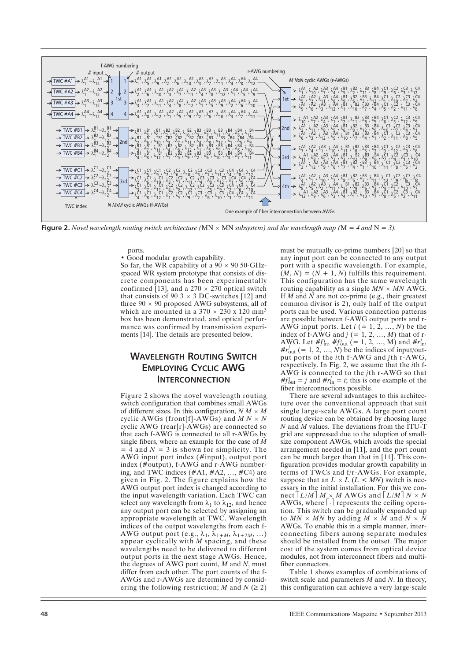

**Figure 2.** *Novel wavelength routing switch architecture* (MN  $\times$  MN *subsystem) and the wavelength map* (M = 4 and N = 3).

ports.

• Good modular growth capability. So far, the WR capability of a  $90 \times 90$  50-GHzspaced WR system prototype that consists of discrete components has been experimentally confirmed [13], and a  $270 \times 270$  optical switch that consists of 90 3  $\times$  3 DC-switches [12] and three  $90 \times 90$  proposed AWG subsystems, all of which are mounted in a  $370 \times 230 \times 120 \text{ mm}^3$ box has been demonstrated, and optical performance was confirmed by transmission experiments [14]. The details are presented below.

## **WAVELENGTH ROUTING SWITCH EMPLOYING CYCLIC AWG INTERCONNECTION**

Figure 2 shows the novel wavelength routing switch configuration that combines small AWGs of different sizes. In this configuration,  $N M \times M$ cyclic AWGs (front [f]-AWGs) and  $M N \times N$ cyclic AWG (rear[r]-AWGs) are connected so that each f-AWG is connected to all r-AWGs by single fibers, where an example for the case of *M*  $=$  4 and  $N = 3$  is shown for simplicity. The AWG input port index (#input), output port index (#output), f-AWG and r-AWG numbering, and TWC indices  $(\#A1, \#A2, \ldots, \#C4)$  are given in Fig. 2. The figure explains how the AWG output port index is changed according to the input wavelength variation. Each TWC can select any wavelength from  $\lambda_1$  to  $\lambda_{12}$ , and hence any output port can be selected by assigning an appropriate wavelength at TWC. Wavelength indices of the output wavelengths from each f-AWG output port (e.g.,  $\lambda_1$ ,  $\lambda_{1+M}$ ,  $\lambda_{1+2M}$ , ...) appear cyclically with *M* spacing, and these wavelengths need to be delivered to different output ports in the next stage AWGs. Hence, the degrees of AWG port count, *M* and *N*, must differ from each other. The port counts of the f-AWGs and r-AWGs are determined by considering the following restriction; *M* and  $N$  ( $\geq$  2) must be mutually co-prime numbers [20] so that any input port can be connected to any output port with a specific wavelength. For example,  $(M, N) = (N + 1, N)$  fulfills this requirement. This configuration has the same wavelength routing capability as a single  $MN \times MN$  AWG. If *M* and *N* are not co-prime (e.g., their greatest common divisor is 2), only half of the output ports can be used. Various connection patterns are possible between f-AWG output ports and r-AWG input ports. Let  $i (= 1, 2, ..., N)$  be the index of f-AWG and  $j$  (= 1, 2, ..., M) that of r-AWG. Let  $#f_{in}^i$ ,  $#f_{out}^i$  (= 1, 2, ..., M) and  $#r_{in}^i$ ,  $\#r_{\text{out}}^{j}$  (= 1, 2, ..., N) be the indices of input/output ports of the *i*th f-AWG and *j*th r-AWG, respectively. In Fig. 2, we assume that the *i*th f-AWG is connected to the *j*th r-AWG so that  $#f_{\text{out}}^i = j$  and  $#r_{\text{in}}^j = i$ ; this is one example of the fiber interconnections possible.

There are several advantages to this architecture over the conventional approach that suit single large-scale AWGs. A large port count routing device can be obtained by choosing large *N* and *M* values. The deviations from the ITU-T grid are suppressed due to the adoption of smallsize component AWGs, which avoids the special arrangement needed in [11], and the port count can be much larger than that in [11]. This configuration provides modular growth capability in terms of TWCs and f/r-AWGs. For example, suppose that an  $L \times L$  ( $L \le MN$ ) switch is necessary in the initial installation. For this we connect  $\lceil L/M \rceil M \times M$  AWGs and  $\lceil L/M \rceil N \times N$ AWGs, where  $\lceil \cdot \rceil$  represents the ceiling operation. This switch can be gradually expanded up to  $MN \times MN$  by adding  $M \times M$  and  $N \times N$ AWGs. To enable this in a simple manner, interconnecting fibers among separate modules should be installed from the outset. The major cost of the system comes from optical device modules, not from interconnect fibers and multifiber connectors.

Table 1 shows examples of combinations of switch scale and parameters *M* and *N*. In theory, this configuration can achieve a very large-scale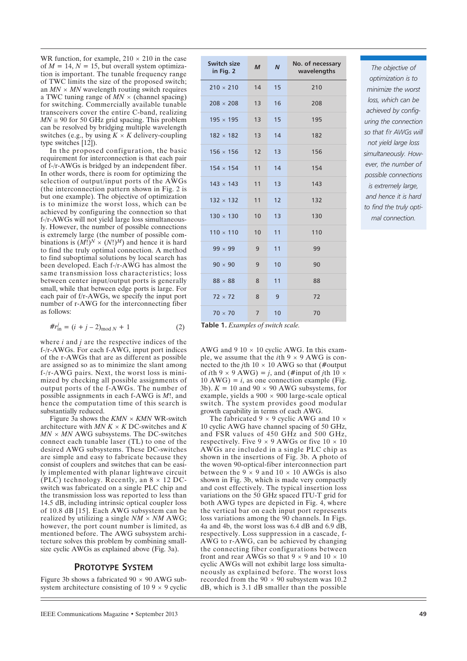WR function, for example,  $210 \times 210$  in the case of  $M = 14$ ,  $N = 15$ , but overall system optimization is important. The tunable frequency range of TWC limits the size of the proposed switch; an  $MN \times MN$  wavelength routing switch requires a TWC tuning range of *MN* × (channel spacing) for switching. Commercially available tunable transceivers cover the entire C-band, realizing  $MN \approx 90$  for 50 GHz grid spacing. This problem can be resolved by bridging multiple wavelength switches (e.g., by using  $K \times K$  delivery-coupling type switches [12]).

In the proposed configuration, the basic requirement for interconnection is that each pair of f-/r-AWGs is bridged by an independent fiber. In other words, there is room for optimizing the selection of output/input ports of the AWGs (the interconnection pattern shown in Fig. 2 is but one example). The objective of optimization is to minimize the worst loss, which can be achieved by configuring the connection so that f-/r-AWGs will not yield large loss simultaneously. However, the number of possible connections is extremely large (the number of possible combinations is  $(M!)^N \times (N!)^M$ ) and hence it is hard to find the truly optimal connection. A method to find suboptimal solutions by local search has been developed. Each f-/r-AWG has almost the same transmission loss characteristics; loss between center input/output ports is generally small, while that between edge ports is large. For each pair of f/r-AWGs, we specify the input port number of r-AWG for the interconnecting fiber as follows:

$$
\#r_{\rm in}^j = (i + j - 2)_{\rm mod\,N} + 1\tag{2}
$$

where *i* and *j* are the respective indices of the f-/r-AWGs. For each f-AWG, input port indices of the r-AWGs that are as different as possible are assigned so as to minimize the slant among  $f - r - AWG$  pairs. Next, the worst loss is minimized by checking all possible assignments of output ports of the f-AWGs. The number of possible assignments in each f-AWG is *M*!, and hence the computation time of this search is substantially reduced.

Figure 3a shows the *KMN* × *KMN* WR-switch architecture with  $MN K \times K$  DC-switches and  $K$  $MN \times MN$  AWG subsystems. The DC-switches connect each tunable laser (TL) to one of the desired AWG subsystems. These DC-switches are simple and easy to fabricate because they consist of couplers and switches that can be easily implemented with planar lightwave circuit (PLC) technology. Recently, an  $8 \times 12$  DCswitch was fabricated on a single PLC chip and the transmission loss was reported to less than 14.5 dB, including intrinsic optical coupler loss of 10.8 dB [15]. Each AWG subsystem can be realized by utilizing a single *NM* × *NM* AWG; however, the port count number is limited, as mentioned before. The AWG subsystem architecture solves this problem by combining smallsize cyclic AWGs as explained above (Fig. 3a).

## **PROTOTYPE SYSTEM**

Figure 3b shows a fabricated  $90 \times 90$  AWG subsystem architecture consisting of  $109 \times 9$  cyclic

| Switch size<br>in Fig. 2           | $\mathbf{M}$   | $\boldsymbol{N}$ | No. of necessary<br>wavelengths |  |
|------------------------------------|----------------|------------------|---------------------------------|--|
| $210 \times 210$                   | 14             | 15               | 210                             |  |
| $208 \times 208$                   | 13             | 16               | 208                             |  |
| $195 \times 195$                   | 13             | 15               | 195                             |  |
| $182 \times 182$                   | 13             | 14               | 182                             |  |
| $156 \times 156$                   | 12             | 13               | 156                             |  |
| $154 \times 154$                   | 11             | 14               | 154                             |  |
| $143 \times 143$                   | 11             | 13               | 143                             |  |
| $132 \times 132$                   | 11             | 12               | 132                             |  |
| $130 \times 130$                   | 10             | 13               | 130                             |  |
| $110 \times 110$                   | 10             | 11               | 110                             |  |
| $99 \times 99$                     | 9              | 11               | 99                              |  |
| $90 \times 90$                     | 9              | 10               | 90                              |  |
| $88 \times 88$                     | 8              | 11               | 88                              |  |
| $72 \times 72$                     | 8              | 9                | 72                              |  |
| $70 \times 70$                     | $\overline{7}$ | 10               | 70                              |  |
| Table 1. Examples of switch scale. |                |                  |                                 |  |

*The objective of optimization is to minimize the worst loss, which can be achieved by configuring the connection so that f/r AWGs will not yield large loss simultaneously. However, the number of possible connections is extremely large, and hence it is hard to find the truly optimal connection.*

|  | <b>Table 1.</b> Examples of switch scale. |
|--|-------------------------------------------|
|--|-------------------------------------------|

AWG and  $9 \times 10$  cyclic AWG. In this example, we assume that the *i*th  $9 \times 9$  AWG is connected to the *j*th  $10 \times 10$  AWG so that (#output of *i*th 9  $\times$  9 AWG) = *j*, and (#input of *j*th 10  $\times$  $10 \text{ AWG} = i$ , as one connection example (Fig. 3b).  $K = 10$  and 90  $\times$  90 AWG subsystems, for example, yields a  $900 \times 900$  large-scale optical switch. The system provides good modular growth capability in terms of each AWG.

The fabricated 9  $\times$  9 cyclic AWG and 10  $\times$ 10 cyclic AWG have channel spacing of 50 GHz, and FSR values of 450 GHz and 500 GHz, respectively. Five  $9 \times 9$  AWGs or five  $10 \times 10$ AWGs are included in a single PLC chip as shown in the insertions of Fig. 3b. A photo of the woven 90-optical-fiber interconnection part between the  $9 \times 9$  and  $10 \times 10$  AWGs is also shown in Fig. 3b, which is made very compactly and cost effectively. The typical insertion loss variations on the 50 GHz spaced ITU-T grid for both AWG types are depicted in Fig. 4, where the vertical bar on each input port represents loss variations among the 90 channels. In Figs. 4a and 4b, the worst loss was 6.4 dB and 6.9 dB, respectively. Loss suppression in a cascade, f-AWG to r-AWG, can be achieved by changing the connecting fiber configurations between front and rear AWGs so that  $9 \times 9$  and  $10 \times 10$ cyclic AWGs will not exhibit large loss simultaneously as explained before. The worst loss recorded from the  $90 \times 90$  subsystem was 10.2 dB, which is 3.1 dB smaller than the possible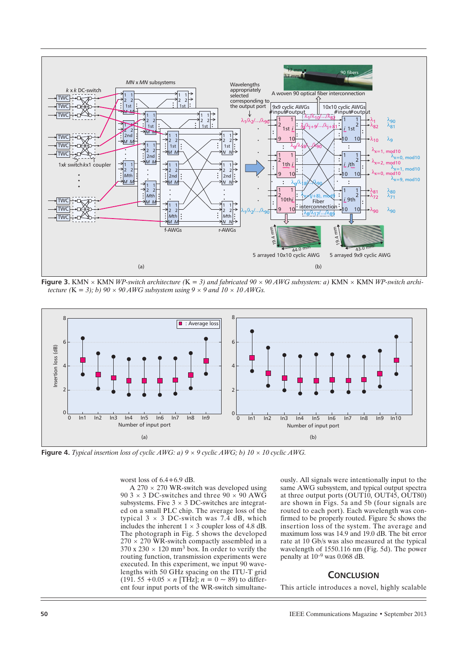

**Figure 3.** KMN × KMN *WP-switch architecture (*K *= 3) and fabricated 90* × *90 AWG subsystem: a)* KMN × KMN *WP-switch architecture*  $(K = 3)$ ; *b)* 90 × 90 *AWG* subsystem using 9 × 9 and 10 × 10 *AWGs*.



**Figure 4.** *Typical insertion loss of cyclic AWG: a) 9* × *9 cyclic AWG; b) 10* × *10 cyclic AWG.*

worst loss of 6.4+6.9 dB.

A  $270 \times 270$  WR-switch was developed using 90 3  $\times$  3 DC-switches and three 90  $\times$  90 AWG subsystems. Five  $3 \times 3$  DC-switches are integrated on a small PLC chip. The average loss of the typical  $3 \times 3$  DC-switch was 7.4 dB, which includes the inherent  $1 \times 3$  coupler loss of 4.8 dB. The photograph in Fig. 5 shows the developed  $270 \times 270$  WR-switch compactly assembled in a  $370 \times 230 \times 120 \text{ mm}^3$  box. In order to verify the routing function, transmission experiments were executed. In this experiment, we input 90 wavelengths with 50 GHz spacing on the ITU-T grid  $(191. 55 + 0.05 \times n$  [THz];  $n = 0 \sim 89$ ) to different four input ports of the WR-switch simultaneously. All signals were intentionally input to the same AWG subsystem, and typical output spectra at three output ports (OUT10, OUT45, OUT80) are shown in Figs. 5a and 5b (four signals are routed to each port). Each wavelength was confirmed to be properly routed. Figure 5c shows the insertion loss of the system. The average and maximum loss was 14.9 and 19.0 dB. The bit error rate at 10 Gb/s was also measured at the typical wavelength of 1550.116 nm (Fig. 5d). The power penalty at 10–9 was 0.068 dB.

## **CONCLUSION**

This article introduces a novel, highly scalable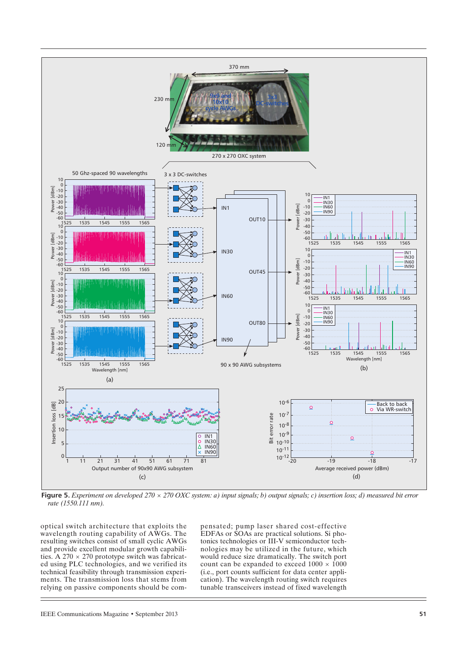

**Figure 5.** *Experiment on developed 270* × *270 OXC system: a) input signals; b) output signals; c) insertion loss; d) measured bit error rate (1550.111 nm).*

optical switch architecture that exploits the wavelength routing capability of AWGs. The resulting switches consist of small cyclic AWGs and provide excellent modular growth capabilities. A 270  $\times$  270 prototype switch was fabricated using PLC technologies, and we verified its technical feasibility through transmission experiments. The transmission loss that stems from relying on passive components should be com-

pensated; pump laser shared cost-effective EDFAs or SOAs are practical solutions. Si photonics technologies or III-V semiconductor technologies may be utilized in the future, which would reduce size dramatically. The switch port count can be expanded to exceed  $1000 \times 1000$ (i.e., port counts sufficient for data center application). The wavelength routing switch requires tunable transceivers instead of fixed wavelength